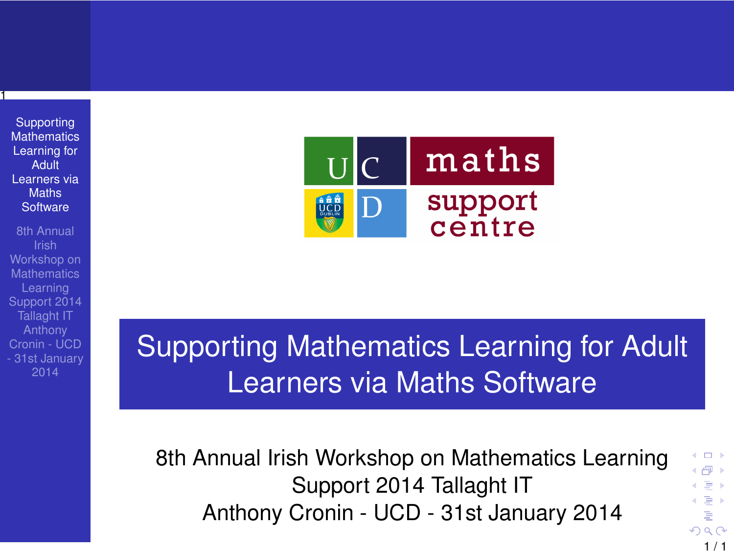Supporting **[Mathematics](#page-0-0)** Learning for Adult Learners via Maths **Software** 

1

8th Annual Workshop on **Mathematics** Learning Support 2014 Tallaght IT Anthony Cronin - UCD - 31st January 2014



# Supporting Mathematics Learning for Adult Learners via Maths Software

8th Annual Irish Workshop on Mathematics Learning Support 2014 Tallaght IT Anthony Cronin - UCD - 31st January 2014

<span id="page-0-0"></span> $1/1$ 

 $-10.5$ ← 一 →  $\leftarrow \equiv +$  $\leftarrow \equiv +$ Þ  $299$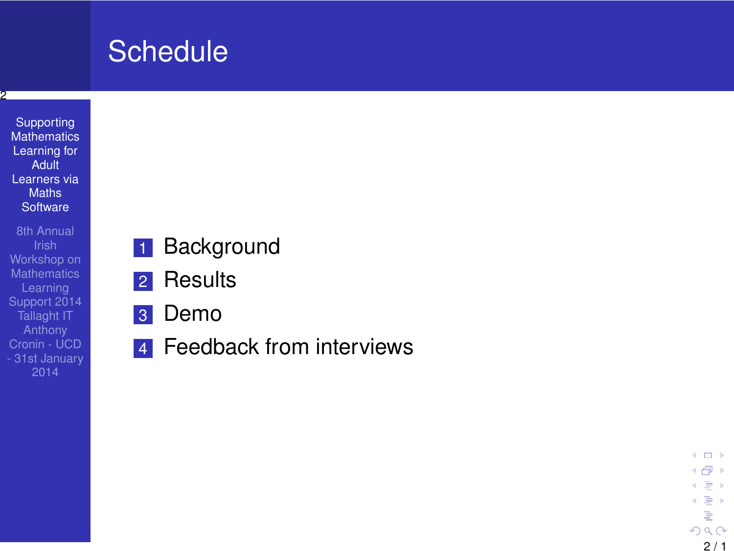# **Schedule**

### 2

Supporting **[Mathematics](#page-0-0)** Learning for Adult Learners via **Maths Software** 

8th Annual Workshop on **Mathematics** Support 2014 Cronin - UCD - 31st January

- 1 Background
- 2 Results
- 3 Demo
- **4** Feedback from interviews

4. 0. 8. 4 母 8 4 로 ) < 를 ⊁ ŧ  $290$  $2/1$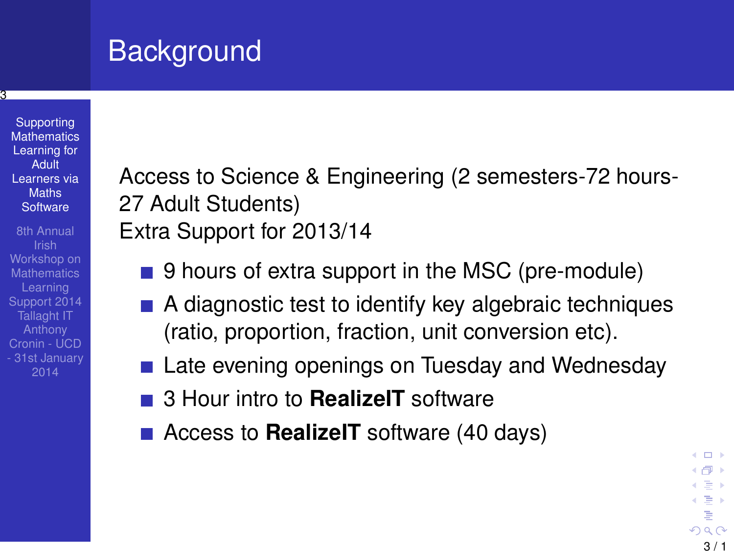# **Background**

**Supporting [Mathematics](#page-0-0)** Learning for Adult Learners via Maths **Software** 

3

8th Annual Workshop on **Mathematics** Learning Support 2014 Tallaght IT Anthony Cronin - UCD - 31st January 2014

Access to Science & Engineering (2 semesters-72 hours-27 Adult Students) Extra Support for 2013/14

- 9 hours of extra support in the MSC (pre-module)
- A diagnostic test to identify key algebraic techniques (ratio, proportion, fraction, unit conversion etc).
- Late evening openings on Tuesday and Wednesday
- 3 Hour intro to **RealizeIT** software
- Access to **RealizeIT** software (40 days)

← 中 →  $\leftarrow \equiv$ 이동 > ă  $290$  $3/1$ 

4. 171. 6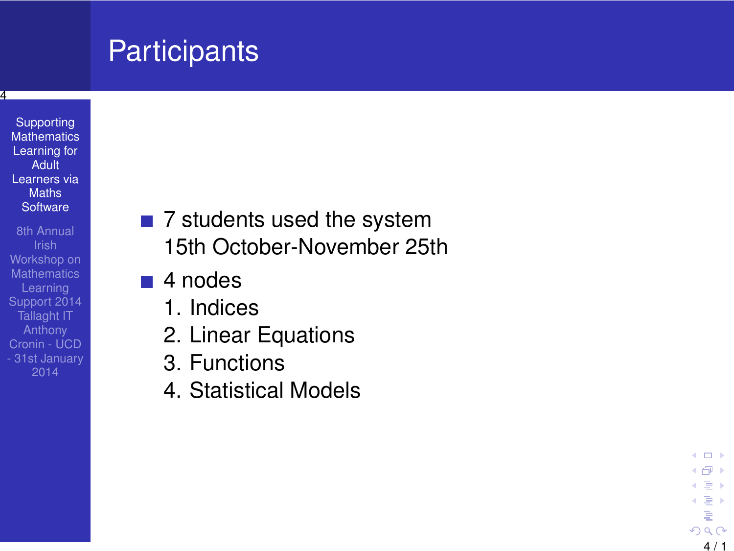# **Participants**

4

- Supporting **[Mathematics](#page-0-0)** Learning for Adult Learners via **Maths Software**
- 8th Annual Workshop on **Mathematics** Learning Support 2014 Cronin - UCD - 31st January
- 7 students used the system 15th October-November 25th
- 4 nodes
	- 1. Indices
	- 2. Linear Equations
	- 3. Functions
	- 4. Statistical Models

 $\leftarrow$   $\Box$ 4 何 ト  $\leftarrow \equiv +$ < 를 ⊁ É  $290$ 4 / 1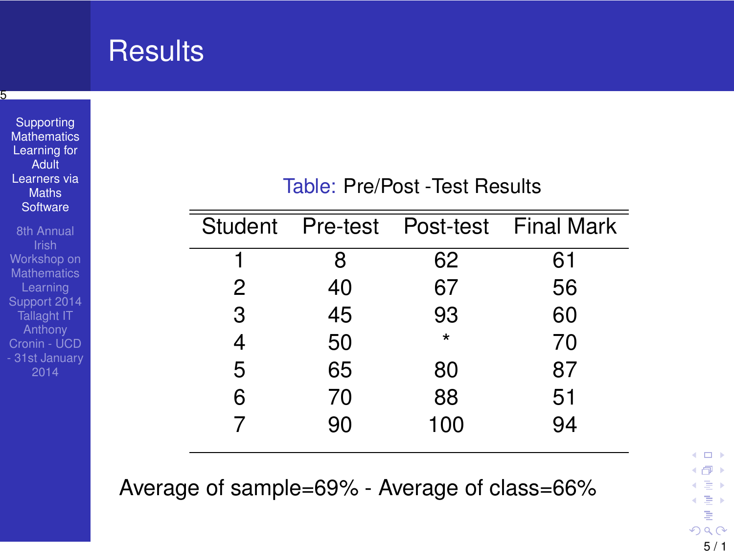| ь<br>Supporting<br><b>Mathematics</b><br>Learning for<br>Adult<br>Learners via<br><b>Maths</b><br>Software |                |          | Table: Pre/Post - Test Results |                   |
|------------------------------------------------------------------------------------------------------------|----------------|----------|--------------------------------|-------------------|
| 8th Annual<br>Irish<br>Workshop on<br><b>Mathematics</b>                                                   | <b>Student</b> | Pre-test | Post-test                      | <b>Final Mark</b> |
|                                                                                                            |                | 8        | 62                             | 61                |
| Learning                                                                                                   | 2              | 40       | 67                             | 56                |
| Support 2014<br><b>Tallaght IT</b>                                                                         | 3              | 45       | 93                             | 60                |
| Anthony<br>Cronin - UCD                                                                                    | 4              | 50       | $\star$                        | 70                |
| - 31st January<br>2014                                                                                     | 5              | 65       | 80                             | 87                |
|                                                                                                            | 6              | 70       | 88                             | 51                |
|                                                                                                            |                | 90       | 100                            | 94                |

Average of sample=69% - Average of class=66%

 $\leftarrow$   $\Box$ ←假下 이동 >  $\in \Xi \ni$ ă  $290$ 5 / 1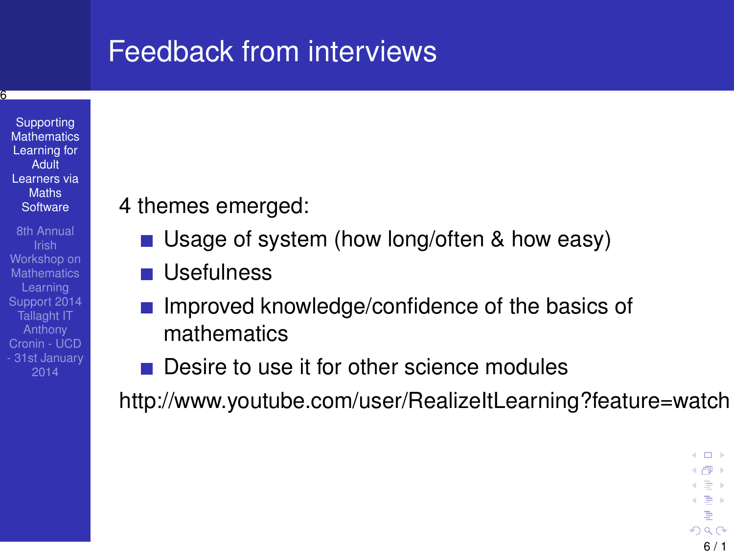## Feedback from interviews



6

2014

- 4 themes emerged:
	- Usage of system (how long/often & how easy)
	- **Usefulness**
	- Improved knowledge/confidence of the basics of mathematics
	- Desire to use it for other science modules

http://www.youtube.com/user/RealizeItLearning?feature=watch

4. 171. 6 ← 中 →  $\leftarrow \equiv$ 이동 > Þ  $290$  $6/1$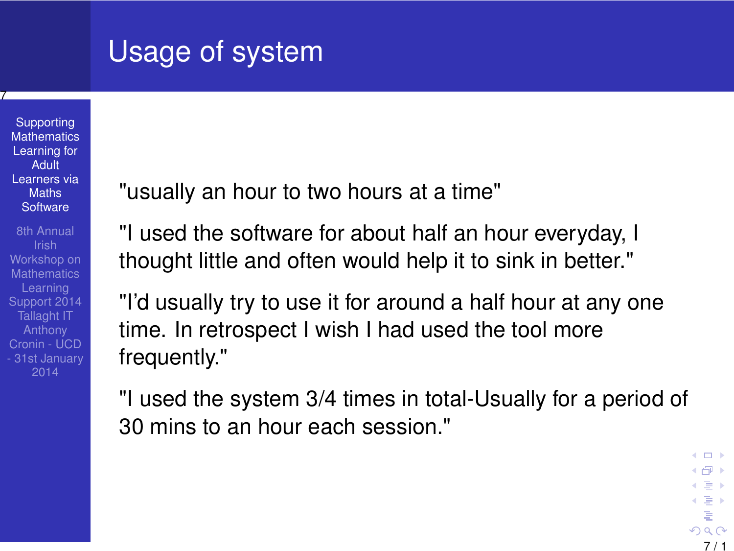# Usage of system

**Supporting [Mathematics](#page-0-0)** Learning for Adult Learners via **Maths Software** 

7

8th Annual Workshop on **Mathematics** Learning Support 2014 Tallaght IT Anthony Cronin - UCD - 31st January "usually an hour to two hours at a time"

"I used the software for about half an hour everyday, I thought little and often would help it to sink in better."

"I'd usually try to use it for around a half hour at any one time. In retrospect I wish I had used the tool more frequently."

"I used the system 3/4 times in total-Usually for a period of 30 mins to an hour each session."

7 / 1

 $\leftarrow$   $\Box$ ← 伊 →  $\leftarrow \equiv +$ 이동 > ŧ  $299$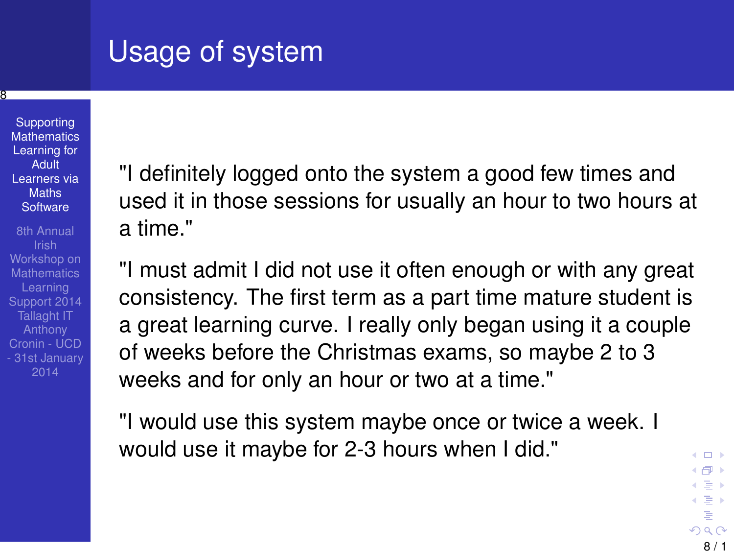# Usage of system

**Supporting [Mathematics](#page-0-0)** Learning for **Adult** Learners via **Maths Software** 

8

8th Annual Workshop on **Mathematics** Learning Support 2014 Tallaght IT Anthony Cronin - UCD - 31st January "I definitely logged onto the system a good few times and used it in those sessions for usually an hour to two hours at a time."

"I must admit I did not use it often enough or with any great consistency. The first term as a part time mature student is a great learning curve. I really only began using it a couple of weeks before the Christmas exams, so maybe 2 to 3 weeks and for only an hour or two at a time."

"I would use this system maybe once or twice a week. I would use it maybe for 2-3 hours when I did."

8 / 1

4. 171. 6 ←假下  $\leftarrow \equiv$ 이동 > İ,  $290$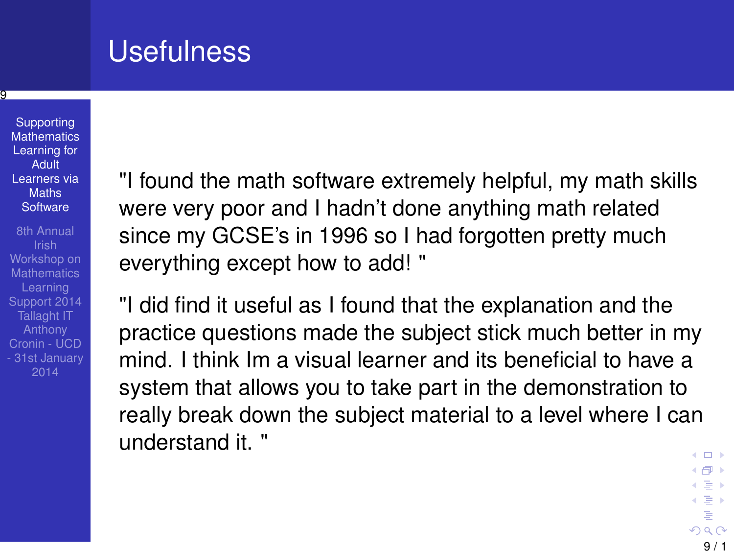## Usefulness

**Supporting [Mathematics](#page-0-0)** Learning for Adult Learners via Maths **Software** 

ত

8th Annual Workshop on **Mathematics** Learning Support 2014 Tallaght IT Anthony Cronin - UCD - 31st January 2014

"I found the math software extremely helpful, my math skills were very poor and I hadn't done anything math related since my GCSE's in 1996 so I had forgotten pretty much everything except how to add! "

"I did find it useful as I found that the explanation and the practice questions made the subject stick much better in my mind. I think Im a visual learner and its beneficial to have a system that allows you to take part in the demonstration to really break down the subject material to a level where I can understand it. "

 $\leftarrow$   $\Box$ ←假下  $\leftarrow \equiv$ 이동 > ă  $290$ 9 / 1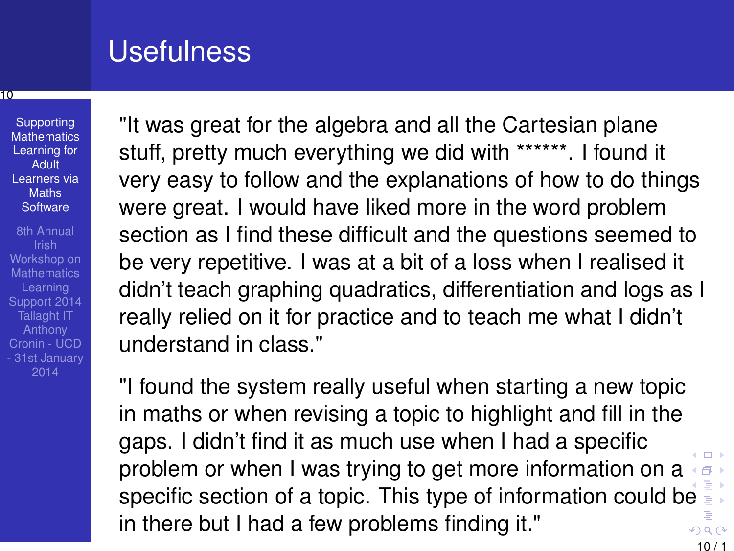## Usefulness

#### 10

**Supporting [Mathematics](#page-0-0)** Learning for Adult Learners via Maths **Software** 

8th Annual Workshop on **Mathematics** Learning Support 2014 Tallaght IT Anthony Cronin - UCD - 31st January 2014

"It was great for the algebra and all the Cartesian plane stuff, pretty much everything we did with \*\*\*\*\*\*. I found it very easy to follow and the explanations of how to do things were great. I would have liked more in the word problem section as I find these difficult and the questions seemed to be very repetitive. I was at a bit of a loss when I realised it didn't teach graphing quadratics, differentiation and logs as I really relied on it for practice and to teach me what I didn't understand in class."

"I found the system really useful when starting a new topic in maths or when revising a topic to highlight and fill in the gaps. I didn't find it as much use when I had a specific problem or when I was trying to get more information on a (母) specific section of a topic. This type of information could b[e](#page-0-0) in there but I had a few problems finding it."  $290$ 

 $10/1$ 

 $\Box$ 

目り  $\geq$ Þ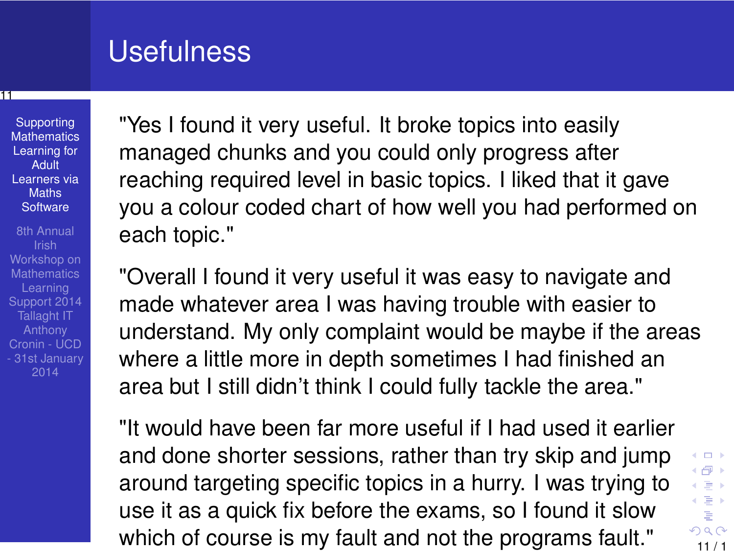## Usefulness

### 11

**Supporting [Mathematics](#page-0-0)** Learning for Adult Learners via **Maths Software** 

8th Annual Workshop on **Mathematics** Learning Support 2014 Tallaght IT Anthony Cronin - UCD - 31st January 2014

"Yes I found it very useful. It broke topics into easily managed chunks and you could only progress after reaching required level in basic topics. I liked that it gave you a colour coded chart of how well you had performed on each topic."

"Overall I found it very useful it was easy to navigate and made whatever area I was having trouble with easier to understand. My only complaint would be maybe if the areas where a little more in depth sometimes I had finished an area but I still didn't think I could fully tackle the area."

"It would have been far more useful if I had used it earlier and done shorter sessions, rather than try skip and jump around targeting specific topics in a hurry. I was trying to use it as a quick fix before the exams, so I found it slow which of course is my fault and not the programs fault."  $\frac{11}{11/1}$ 

<span id="page-10-0"></span>4.0.3 4 伊 ト  $\leftarrow \equiv$ 이동 > ÷,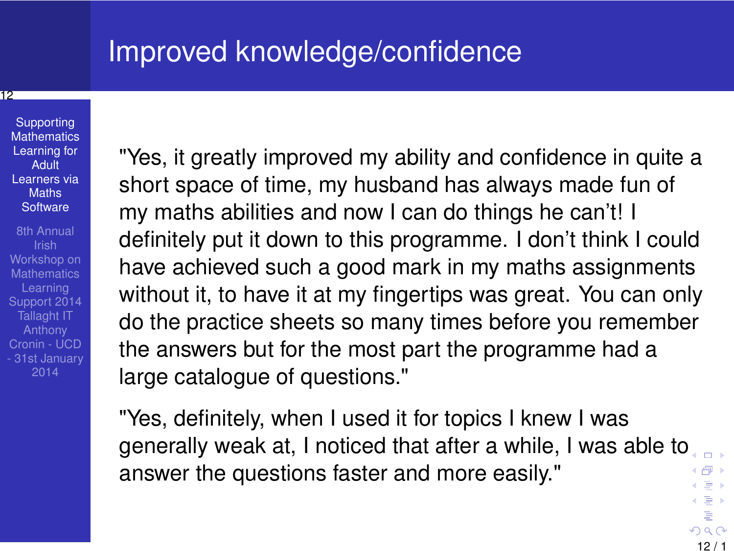## Improved knowledge/confidence

### 12

**Supporting [Mathematics](#page-0-0)** Learning for Adult Learners via **Maths Software** 

8th Annual Workshop on **Mathematics** Learning Support 2014 Tallaght IT Anthony Cronin - UCD - 31st January 2014

"Yes, it greatly improved my ability and confidence in quite a short space of time, my husband has always made fun of my maths abilities and now I can do things he can't! I definitely put it down to this programme. I don't think I could have achieved such a good mark in my maths assignments without it, to have it at my fingertips was great. You can only do the practice sheets so many times before you remember the answers but for the most part the programme had a large catalogue of questions."

"Yes, definitely, when I used it for topics I knew I was generally weak at, I noticed that after a while, I was able t[o](#page-10-0) cimia. answer the questions faster and more easily." ←母→  $\leftarrow \equiv +$ 

 $12/1$ 

 $\leftarrow \equiv +$ ÷,  $200$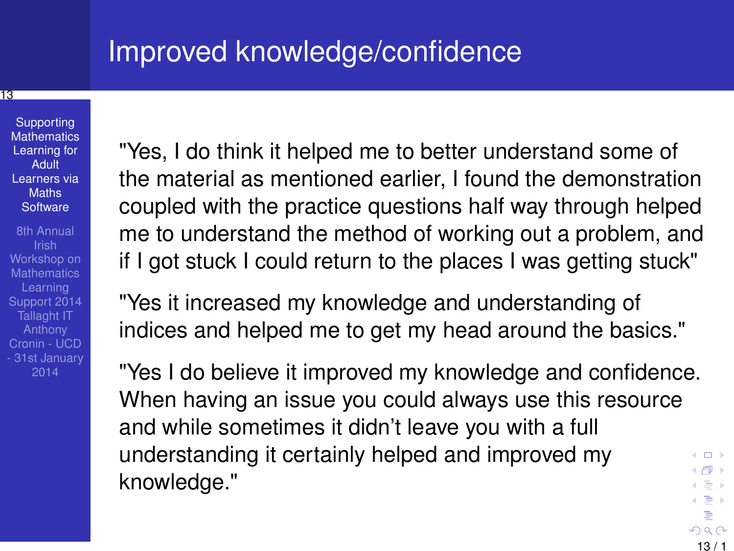## Improved knowledge/confidence

### 13

Supporting **[Mathematics](#page-0-0)** Learning for Adult Learners via Maths **Software** 

8th Annual Workshop on **Mathematics** Learning Support 2014 Tallaght IT Anthony Cronin - UCD - 31st January 2014

"Yes, I do think it helped me to better understand some of the material as mentioned earlier, I found the demonstration coupled with the practice questions half way through helped me to understand the method of working out a problem, and if I got stuck I could return to the places I was getting stuck"

"Yes it increased my knowledge and understanding of indices and helped me to get my head around the basics."

"Yes I do believe it improved my knowledge and confidence. When having an issue you could always use this resource and while sometimes it didn't leave you with a full understanding it certainly helped and improved my 4. 171. 6 《母》 knowledge."  $\leftarrow \equiv$ 이동 >

<span id="page-12-0"></span>13 / 1

İ,  $290$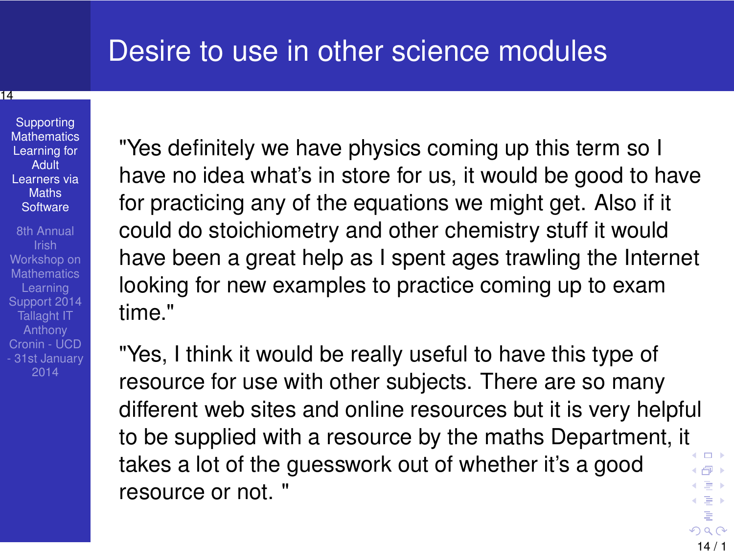### Desire to use in other science modules

### 14

Supporting **[Mathematics](#page-0-0)** Learning for Adult Learners via Maths **Software** 

8th Annual Workshop on **Mathematics** Learning Support 2014 Tallaght IT Anthony Cronin - UCD - 31st January 2014

"Yes definitely we have physics coming up this term so I have no idea what's in store for us, it would be good to have for practicing any of the equations we might get. Also if it could do stoichiometry and other chemistry stuff it would have been a great help as I spent ages trawling the Internet looking for new examples to practice coming up to exam time."

"Yes, I think it would be really useful to have this type of resource for use with other subjects. There are so many different web sites and online resources but it is very helpful to be supplied with a resource by the maths Department, i[t](#page-12-0)  $\leftarrow$   $\Box$ takes a lot of the guesswork out of whether it's a good 4 伊 ト  $\leftarrow \equiv +$ resource or not. " 이동 >

14 / 1

Þ  $299$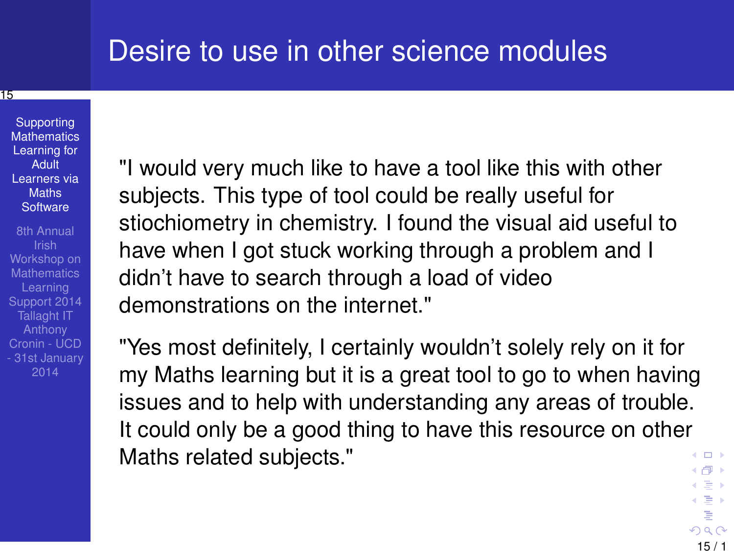### Desire to use in other science modules

### 15

**Supporting [Mathematics](#page-0-0)** Learning for **Adult** Learners via **Maths Software** 

8th Annual Workshop on **Mathematics** Learning Tallaght IT Anthony Cronin - UCD - 31st January "I would very much like to have a tool like this with other subjects. This type of tool could be really useful for stiochiometry in chemistry. I found the visual aid useful to have when I got stuck working through a problem and I didn't have to search through a load of video demonstrations on the internet."

"Yes most definitely, I certainly wouldn't solely rely on it for my Maths learning but it is a great tool to go to when having issues and to help with understanding any areas of trouble. It could only be a good thing to have this resource on other Maths related subjects."  $\leftarrow$   $\Box$ ←假下

15 / 1

 $\leftarrow \equiv$ 이동 > İ,  $290$